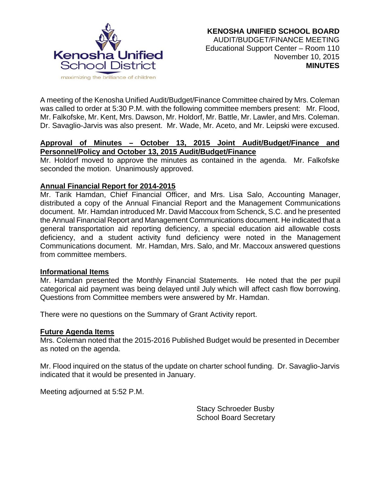

A meeting of the Kenosha Unified Audit/Budget/Finance Committee chaired by Mrs. Coleman was called to order at 5:30 P.M. with the following committee members present: Mr. Flood, Mr. Falkofske, Mr. Kent, Mrs. Dawson, Mr. Holdorf, Mr. Battle, Mr. Lawler, and Mrs. Coleman. Dr. Savaglio-Jarvis was also present. Mr. Wade, Mr. Aceto, and Mr. Leipski were excused.

# **Approval of Minutes – October 13, 2015 Joint Audit/Budget/Finance and Personnel/Policy and October 13, 2015 Audit/Budget/Finance**

Mr. Holdorf moved to approve the minutes as contained in the agenda. Mr. Falkofske seconded the motion. Unanimously approved.

# **Annual Financial Report for 2014-2015**

Mr. Tarik Hamdan, Chief Financial Officer, and Mrs. Lisa Salo, Accounting Manager, distributed a copy of the Annual Financial Report and the Management Communications document. Mr. Hamdan introduced Mr. David Maccoux from Schenck, S.C. and he presented the Annual Financial Report and Management Communications document. He indicated that a general transportation aid reporting deficiency, a special education aid allowable costs deficiency, and a student activity fund deficiency were noted in the Management Communications document. Mr. Hamdan, Mrs. Salo, and Mr. Maccoux answered questions from committee members.

## **Informational Items**

Mr. Hamdan presented the Monthly Financial Statements. He noted that the per pupil categorical aid payment was being delayed until July which will affect cash flow borrowing. Questions from Committee members were answered by Mr. Hamdan.

There were no questions on the Summary of Grant Activity report.

## **Future Agenda Items**

Mrs. Coleman noted that the 2015-2016 Published Budget would be presented in December as noted on the agenda.

Mr. Flood inquired on the status of the update on charter school funding. Dr. Savaglio-Jarvis indicated that it would be presented in January.

Meeting adjourned at 5:52 P.M.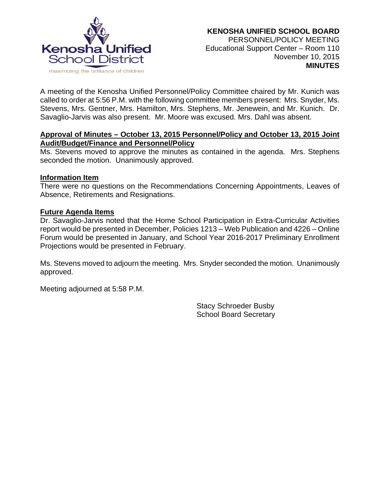

A meeting of the Kenosha Unified Personnel/Policy Committee chaired by Mr. Kunich was called to order at 5:56 P.M. with the following committee members present: Mrs. Snyder, Ms. Stevens, Mrs. Gentner, Mrs. Hamilton, Mrs. Stephens, Mr. Jenewein, and Mr. Kunich. Dr. Savaglio-Jarvis was also present. Mr. Moore was excused. Mrs. Dahl was absent.

## **Approval of Minutes – October 13, 2015 Personnel/Policy and October 13, 2015 Joint Audit/Budget/Finance and Personnel/Policy**

Ms. Stevens moved to approve the minutes as contained in the agenda. Mrs. Stephens seconded the motion. Unanimously approved.

## **Information Item**

There were no questions on the Recommendations Concerning Appointments, Leaves of Absence, Retirements and Resignations.

## **Future Agenda Items**

Dr. Savaglio-Jarvis noted that the Home School Participation in Extra-Curricular Activities report would be presented in December, Policies 1213 – Web Publication and 4226 – Online Forum would be presented in January, and School Year 2016-2017 Preliminary Enrollment Projections would be presented in February.

Ms. Stevens moved to adjourn the meeting. Mrs. Snyder seconded the motion. Unanimously approved.

Meeting adjourned at 5:58 P.M.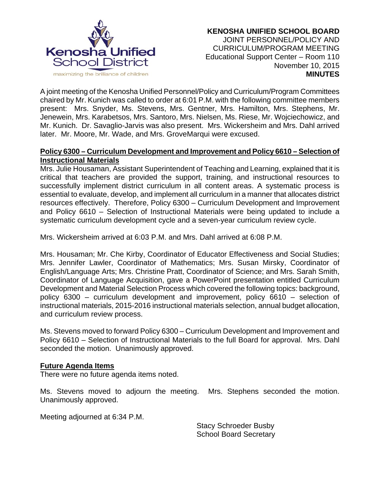

A joint meeting of the Kenosha Unified Personnel/Policy and Curriculum/Program Committees chaired by Mr. Kunich was called to order at 6:01 P.M. with the following committee members present: Mrs. Snyder, Ms. Stevens, Mrs. Gentner, Mrs. Hamilton, Mrs. Stephens, Mr. Jenewein, Mrs. Karabetsos, Mrs. Santoro, Mrs. Nielsen, Ms. Riese, Mr. Wojciechowicz, and Mr. Kunich. Dr. Savaglio-Jarvis was also present. Mrs. Wickersheim and Mrs. Dahl arrived later. Mr. Moore, Mr. Wade, and Mrs. GroveMarqui were excused.

## **Policy 6300 – Curriculum Development and Improvement and Policy 6610 – Selection of Instructional Materials**

Mrs. Julie Housaman, Assistant Superintendent of Teaching and Learning, explained that it is critical that teachers are provided the support, training, and instructional resources to successfully implement district curriculum in all content areas. A systematic process is essential to evaluate, develop, and implement all curriculum in a manner that allocates district resources effectively. Therefore, Policy 6300 – Curriculum Development and Improvement and Policy 6610 – Selection of Instructional Materials were being updated to include a systematic curriculum development cycle and a seven-year curriculum review cycle.

Mrs. Wickersheim arrived at 6:03 P.M. and Mrs. Dahl arrived at 6:08 P.M.

Mrs. Housaman; Mr. Che Kirby, Coordinator of Educator Effectiveness and Social Studies; Mrs. Jennifer Lawler, Coordinator of Mathematics; Mrs. Susan Mirsky, Coordinator of English/Language Arts; Mrs. Christine Pratt, Coordinator of Science; and Mrs. Sarah Smith, Coordinator of Language Acquisition, gave a PowerPoint presentation entitled Curriculum Development and Material Selection Process which covered the following topics: background, policy 6300 – curriculum development and improvement, policy 6610 – selection of instructional materials, 2015-2016 instructional materials selection, annual budget allocation, and curriculum review process.

Ms. Stevens moved to forward Policy 6300 – Curriculum Development and Improvement and Policy 6610 – Selection of Instructional Materials to the full Board for approval. Mrs. Dahl seconded the motion. Unanimously approved.

## **Future Agenda Items**

There were no future agenda items noted.

Ms. Stevens moved to adjourn the meeting. Mrs. Stephens seconded the motion. Unanimously approved.

Meeting adjourned at 6:34 P.M.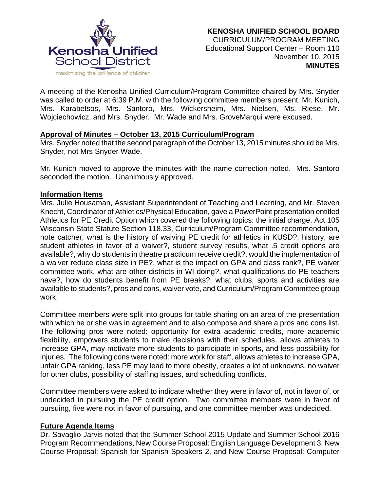

A meeting of the Kenosha Unified Curriculum/Program Committee chaired by Mrs. Snyder was called to order at 6:39 P.M. with the following committee members present: Mr. Kunich, Mrs. Karabetsos, Mrs. Santoro, Mrs. Wickersheim, Mrs. Nielsen, Ms. Riese, Mr. Wojciechowicz, and Mrs. Snyder. Mr. Wade and Mrs. GroveMarqui were excused.

## **Approval of Minutes – October 13, 2015 Curriculum/Program**

Mrs. Snyder noted that the second paragraph of the October 13, 2015 minutes should be Mrs. Snyder, not Mrs Snyder Wade.

Mr. Kunich moved to approve the minutes with the name correction noted. Mrs. Santoro seconded the motion. Unanimously approved.

### **Information Items**

Mrs. Julie Housaman, Assistant Superintendent of Teaching and Learning, and Mr. Steven Knecht, Coordinator of Athletics/Physical Education, gave a PowerPoint presentation entitled Athletics for PE Credit Option which covered the following topics: the initial charge, Act 105 Wisconsin State Statute Section 118.33, Curriculum/Program Committee recommendation, note catcher, what is the history of waiving PE credit for athletics in KUSD?, history, are student athletes in favor of a waiver?, student survey results, what .5 credit options are available?, why do students in theatre practicum receive credit?, would the implementation of a waiver reduce class size in PE?, what is the impact on GPA and class rank?, PE waiver committee work, what are other districts in WI doing?, what qualifications do PE teachers have?, how do students benefit from PE breaks?, what clubs, sports and activities are available to students?, pros and cons, waiver vote, and Curriculum/Program Committee group work.

Committee members were split into groups for table sharing on an area of the presentation with which he or she was in agreement and to also compose and share a pros and cons list. The following pros were noted: opportunity for extra academic credits, more academic flexibility, empowers students to make decisions with their schedules, allows athletes to increase GPA, may motivate more students to participate in sports, and less possibility for injuries. The following cons were noted: more work for staff, allows athletes to increase GPA, unfair GPA ranking, less PE may lead to more obesity, creates a lot of unknowns, no waiver for other clubs, possibility of staffing issues, and scheduling conflicts.

Committee members were asked to indicate whether they were in favor of, not in favor of, or undecided in pursuing the PE credit option. Two committee members were in favor of pursuing, five were not in favor of pursuing, and one committee member was undecided.

## **Future Agenda Items**

Dr. Savaglio-Jarvis noted that the Summer School 2015 Update and Summer School 2016 Program Recommendations, New Course Proposal: English Language Development 3, New Course Proposal: Spanish for Spanish Speakers 2, and New Course Proposal: Computer